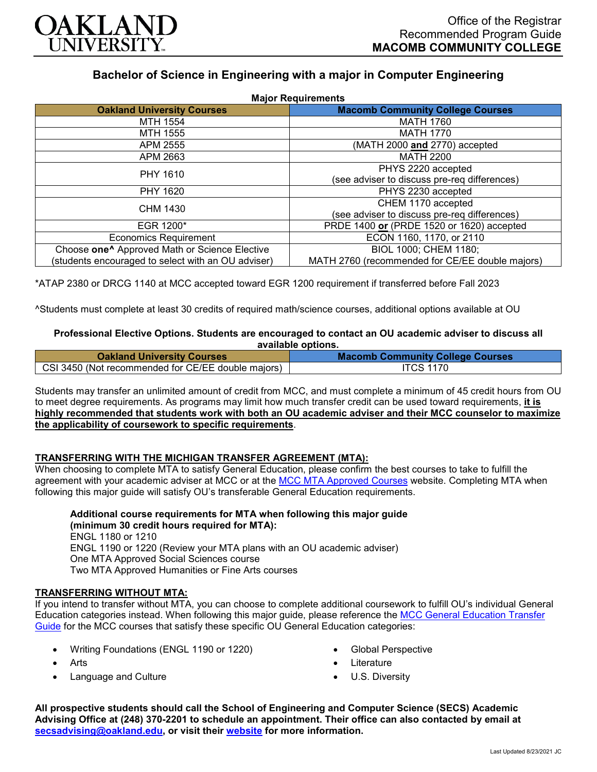

# **Bachelor of Science in Engineering with a major in Computer Engineering**

| <b>Major Requirements</b>                                 |                                                 |
|-----------------------------------------------------------|-------------------------------------------------|
| <b>Oakland University Courses</b>                         | <b>Macomb Community College Courses</b>         |
| <b>MTH 1554</b>                                           | <b>MATH 1760</b>                                |
| MTH 1555                                                  | <b>MATH 1770</b>                                |
| APM 2555                                                  | (MATH 2000 and 2770) accepted                   |
| APM 2663                                                  | <b>MATH 2200</b>                                |
| PHY 1610                                                  | PHYS 2220 accepted                              |
|                                                           | (see adviser to discuss pre-req differences)    |
| PHY 1620                                                  | PHYS 2230 accepted                              |
| <b>CHM 1430</b>                                           | CHEM 1170 accepted                              |
|                                                           | (see adviser to discuss pre-req differences)    |
| EGR 1200*                                                 | PRDE 1400 or (PRDE 1520 or 1620) accepted       |
| <b>Economics Requirement</b>                              | ECON 1160, 1170, or 2110                        |
| Choose one <sup>^</sup> Approved Math or Science Elective | BIOL 1000; CHEM 1180;                           |
| (students encouraged to select with an OU adviser)        | MATH 2760 (recommended for CE/EE double majors) |

\*ATAP 2380 or DRCG 1140 at MCC accepted toward EGR 1200 requirement if transferred before Fall 2023

^Students must complete at least 30 credits of required math/science courses, additional options available at OU

#### **Professional Elective Options. Students are encouraged to contact an OU academic adviser to discuss all available options.**

| <b>Oakland University Courses</b>                  | <b>Macomb Community College Courses</b> |
|----------------------------------------------------|-----------------------------------------|
| CSI 3450 (Not recommended for CE/EE double majors) | <b>ITCS 1170</b>                        |

Students may transfer an unlimited amount of credit from MCC, and must complete a minimum of 45 credit hours from OU to meet degree requirements. As programs may limit how much transfer credit can be used toward requirements, **it is highly recommended that students work with both an OU academic adviser and their MCC counselor to maximize the applicability of coursework to specific requirements**.

## **TRANSFERRING WITH THE MICHIGAN TRANSFER AGREEMENT (MTA):**

When choosing to complete MTA to satisfy General Education, please confirm the best courses to take to fulfill the agreement with your academic adviser at MCC or at the [MCC MTA Approved Courses](https://www.macomb.edu/resources/transfer-articulation/attachments/mta-macrao-course-list.pdf) website. Completing MTA when following this major guide will satisfy OU's transferable General Education requirements.

**Additional course requirements for MTA when following this major guide (minimum 30 credit hours required for MTA):** ENGL 1180 or 1210 ENGL 1190 or 1220 (Review your MTA plans with an OU academic adviser) One MTA Approved Social Sciences course Two MTA Approved Humanities or Fine Arts courses

## **TRANSFERRING WITHOUT MTA:**

If you intend to transfer without MTA, you can choose to complete additional coursework to fulfill OU's individual General Education categories instead. When following this major guide, please reference the [MCC General Education Transfer](https://www.oakland.edu/Assets/Oakland/program-guides/macomb-community-college/university-general-education-requirements/MCC%20Gen%20Ed.pdf)  [Guide](https://www.oakland.edu/Assets/Oakland/program-guides/macomb-community-college/university-general-education-requirements/MCC%20Gen%20Ed.pdf) for the MCC courses that satisfy these specific OU General Education categories:

- Writing Foundations (ENGL 1190 or 1220)
- Arts
- Language and Culture
- Global Perspective
- **Literature**
- U.S. Diversity

**All prospective students should call the School of Engineering and Computer Science (SECS) Academic Advising Office at (248) 370-2201 to schedule an appointment. Their office can also contacted by email at [secsadvising@oakland.edu,](mailto:secsadvising@oakland.edu) or visit their [website](https://wwwp.oakland.edu/secs/advising/) for more information.**